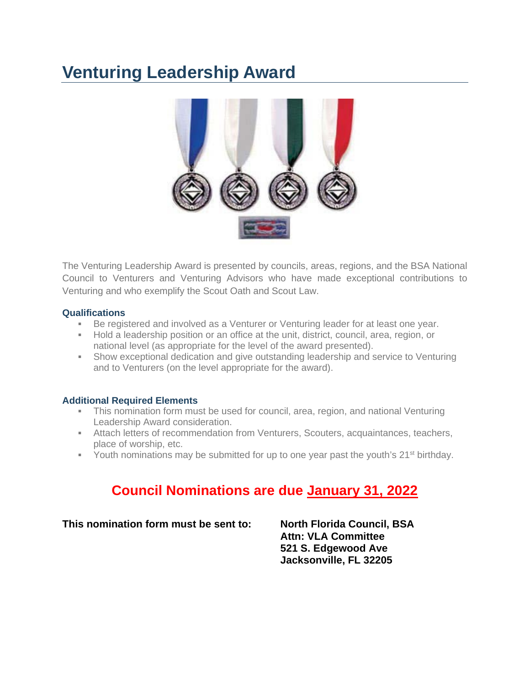# **Venturing Leadership Award**



The Venturing Leadership Award is presented by councils, areas, regions, and the BSA National Council to Venturers and Venturing Advisors who have made exceptional contributions to Venturing and who exemplify the Scout Oath and Scout Law.

### **Qualifications**

- Be registered and involved as a Venturer or Venturing leader for at least one year.
- Hold a leadership position or an office at the unit, district, council, area, region, or national level (as appropriate for the level of the award presented).
- Show exceptional dedication and give outstanding leadership and service to Venturing and to Venturers (on the level appropriate for the award).

### **Additional Required Elements**

- This nomination form must be used for council, area, region, and national Venturing Leadership Award consideration.
- Attach letters of recommendation from Venturers, Scouters, acquaintances, teachers, place of worship, etc.
- Youth nominations may be submitted for up to one year past the youth's  $21^{st}$  birthday.

# **Council Nominations are due January 31, 2022**

### **This nomination form must be sent to: North Florida Council, BSA**

**Attn: VLA Committee 521 S. Edgewood Ave Jacksonville, FL 32205**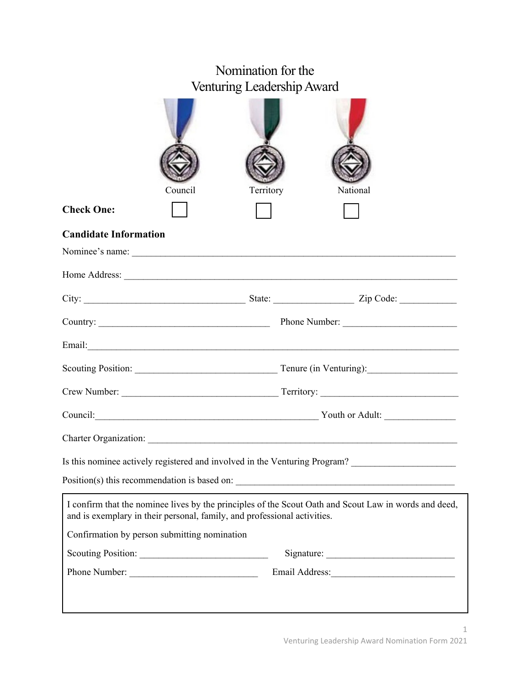|                                                                                                                                                                                   | Nomination for the<br>Venturing Leadership Award                                                                                                                                                                                        |  |          |  |
|-----------------------------------------------------------------------------------------------------------------------------------------------------------------------------------|-----------------------------------------------------------------------------------------------------------------------------------------------------------------------------------------------------------------------------------------|--|----------|--|
| Council                                                                                                                                                                           | Territory                                                                                                                                                                                                                               |  | National |  |
| <b>Check One:</b>                                                                                                                                                                 |                                                                                                                                                                                                                                         |  |          |  |
| <b>Candidate Information</b>                                                                                                                                                      |                                                                                                                                                                                                                                         |  |          |  |
| Nominee's name:                                                                                                                                                                   |                                                                                                                                                                                                                                         |  |          |  |
|                                                                                                                                                                                   |                                                                                                                                                                                                                                         |  |          |  |
|                                                                                                                                                                                   |                                                                                                                                                                                                                                         |  |          |  |
|                                                                                                                                                                                   |                                                                                                                                                                                                                                         |  |          |  |
|                                                                                                                                                                                   |                                                                                                                                                                                                                                         |  |          |  |
|                                                                                                                                                                                   |                                                                                                                                                                                                                                         |  |          |  |
|                                                                                                                                                                                   |                                                                                                                                                                                                                                         |  |          |  |
|                                                                                                                                                                                   | Council: <u>Council</u> Council: <u>Council</u> Council Council Council Council Council Council Council Council Council Council Council Council Council Council Council Council Council Council Council Council Council Council Council |  |          |  |
| Charter Organization:                                                                                                                                                             |                                                                                                                                                                                                                                         |  |          |  |
| Is this nominee actively registered and involved in the Venturing Program? ________________________                                                                               |                                                                                                                                                                                                                                         |  |          |  |
|                                                                                                                                                                                   |                                                                                                                                                                                                                                         |  |          |  |
| I confirm that the nominee lives by the principles of the Scout Oath and Scout Law in words and deed,<br>and is exemplary in their personal, family, and professional activities. |                                                                                                                                                                                                                                         |  |          |  |
| Confirmation by person submitting nomination                                                                                                                                      |                                                                                                                                                                                                                                         |  |          |  |
|                                                                                                                                                                                   |                                                                                                                                                                                                                                         |  |          |  |
|                                                                                                                                                                                   |                                                                                                                                                                                                                                         |  |          |  |
|                                                                                                                                                                                   |                                                                                                                                                                                                                                         |  |          |  |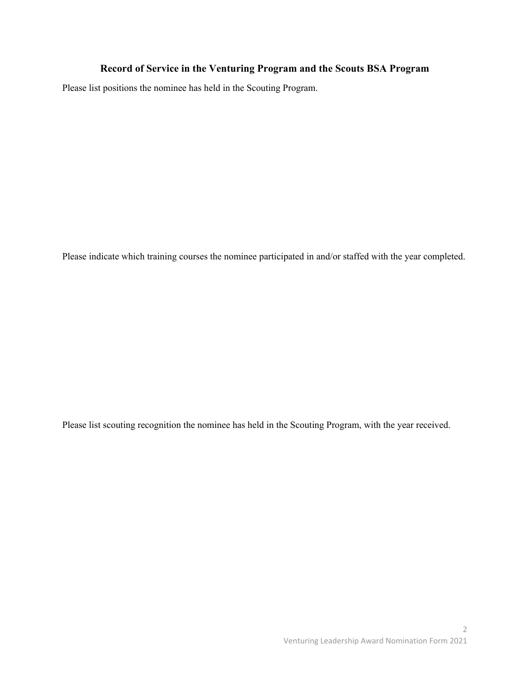## **Record of Service in the Venturing Program and the Scouts BSA Program**

Please list positions the nominee has held in the Scouting Program.

Please indicate which training courses the nominee participated in and/or staffed with the year completed.

Please list scouting recognition the nominee has held in the Scouting Program, with the year received.